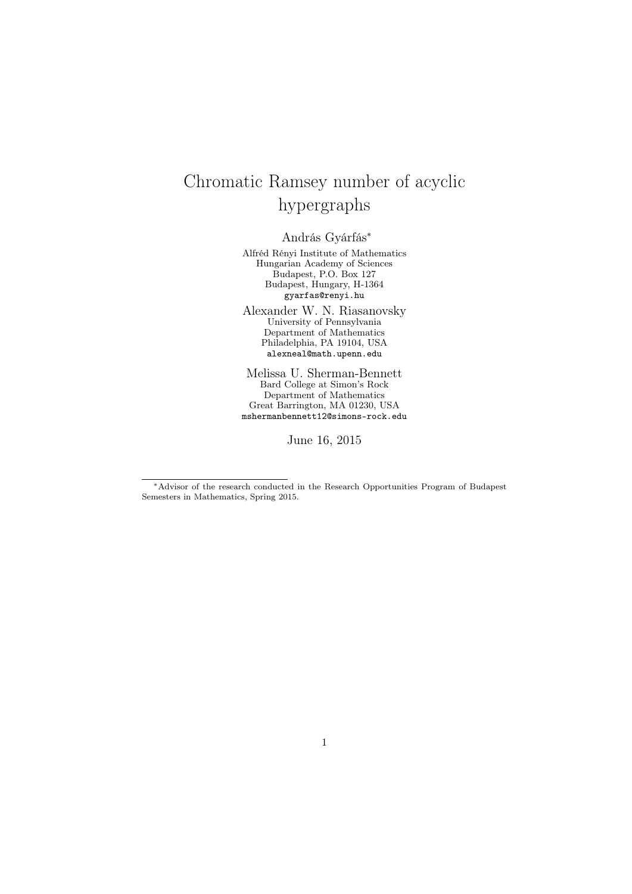# Chromatic Ramsey number of acyclic hypergraphs

András Gyárfás*<sup>∗</sup>*

Alfréd Rényi Institute of Mathematics Hungarian Academy of Sciences Budapest, P.O. Box 127 Budapest, Hungary, H-1364 gyarfas@renyi.hu

Alexander W. N. Riasanovsky University of Pennsylvania Department of Mathematics Philadelphia, PA 19104, USA alexneal@math.upenn.edu

Melissa U. Sherman-Bennett Bard College at Simon's Rock Department of Mathematics Great Barrington, MA 01230, USA mshermanbennett12@simons-rock.edu

June 16, 2015

*<sup>∗</sup>*Advisor of the research conducted in the Research Opportunities Program of Budapest Semesters in Mathematics, Spring 2015.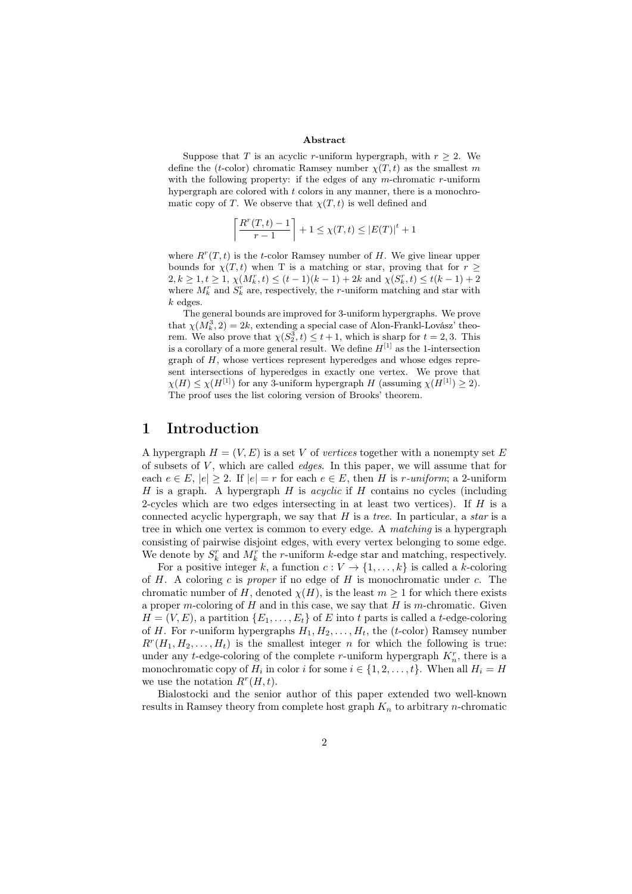#### Abstract

Suppose that *T* is an acyclic *r*-uniform hypergraph, with  $r \geq 2$ . We define the (*t*-color) chromatic Ramsey number  $\chi(T, t)$  as the smallest *m* with the following property: if the edges of any *m*-chromatic *r*-uniform hypergraph are colored with *t* colors in any manner, there is a monochromatic copy of *T*. We observe that  $\chi(T, t)$  is well defined and

$$
\left\lceil \frac{R^r(T,t) - 1}{r - 1} \right\rceil + 1 \le \chi(T,t) \le |E(T)|^t + 1
$$

where  $R^r(T, t)$  is the *t*-color Ramsey number of *H*. We give linear upper bounds for  $\chi(T, t)$  when T is a matching or star, proving that for  $r \geq$  $2, k \ge 1, t \ge 1, \chi(M_k^r, t) \le (t - 1)(k - 1) + 2k$  and  $\chi(S_k^r, t) \le t(k - 1) + 2$ where  $M_k^r$  and  $S_k^r$  are, respectively, the *r*-uniform matching and star with *k* edges.

The general bounds are improved for 3-uniform hypergraphs. We prove that  $\chi(M_k^3, 2) = 2k$ , extending a special case of Alon-Frankl-Lovász' theorem. We also prove that  $\chi(S_2^3, t) \leq t+1$ , which is sharp for  $t = 2, 3$ . This is a corollary of a more general result. We define  $H^{[1]}$  as the 1-intersection graph of *H*, whose vertices represent hyperedges and whose edges represent intersections of hyperedges in exactly one vertex. We prove that  $\chi(H) \leq \chi(H^{[1]})$  for any 3-uniform hypergraph *H* (assuming  $\chi(H^{[1]}) \geq 2$ ). The proof uses the list coloring version of Brooks' theorem.

## 1 Introduction

A hypergraph  $H = (V, E)$  is a set V of *vertices* together with a nonempty set E of subsets of *V* , which are called *edges*. In this paper, we will assume that for each  $e \in E$ ,  $|e| > 2$ . If  $|e| = r$  for each  $e \in E$ , then *H* is *r-uniform*; a 2-uniform *H* is a graph. A hypergraph *H* is *acyclic* if *H* contains no cycles (including 2-cycles which are two edges intersecting in at least two vertices). If *H* is a connected acyclic hypergraph, we say that *H* is a *tree*. In particular, a *star* is a tree in which one vertex is common to every edge. A *matching* is a hypergraph consisting of pairwise disjoint edges, with every vertex belonging to some edge. We denote by  $S_k^r$  and  $M_k^r$  the *r*-uniform *k*-edge star and matching, respectively.

For a positive integer *k*, a function  $c: V \to \{1, \ldots, k\}$  is called a *k*-coloring of *H*. A coloring *c* is *proper* if no edge of *H* is monochromatic under *c*. The chromatic number of *H*, denoted  $\chi(H)$ , is the least  $m \geq 1$  for which there exists a proper *m*-coloring of *H* and in this case, we say that *H* is *m*-chromatic. Given  $H = (V, E)$ , a partition  $\{E_1, \ldots, E_t\}$  of *E* into *t* parts is called a *t*-edge-coloring of *H*. For *r*-uniform hypergraphs  $H_1, H_2, \ldots, H_t$ , the (*t*-color) Ramsey number  $R^r(H_1, H_2, \ldots, H_t)$  is the smallest integer *n* for which the following is true: under any *t*-edge-coloring of the complete *r*-uniform hypergraph  $K_n^r$ , there is a monochromatic copy of  $H_i$  in color *i* for some  $i \in \{1, 2, \ldots, t\}$ . When all  $H_i = H$ we use the notation  $R^r(H,t)$ .

Bialostocki and the senior author of this paper extended two well-known results in Ramsey theory from complete host graph *K<sup>n</sup>* to arbitrary *n*-chromatic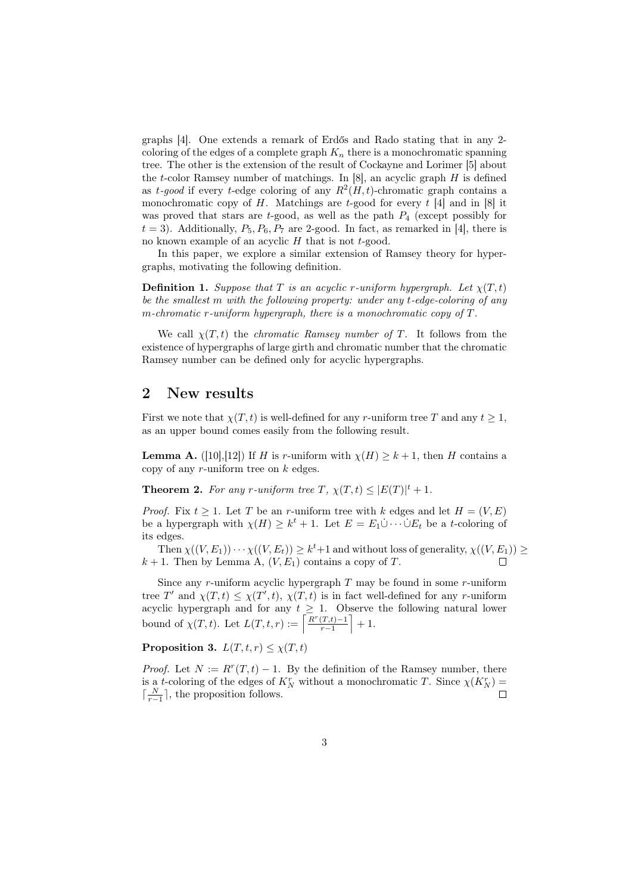graphs [4]. One extends a remark of Erdős and Rado stating that in any 2 coloring of the edges of a complete graph  $K_n$  there is a monochromatic spanning tree. The other is the extension of the result of Cockayne and Lorimer [5] about the *t*-color Ramsey number of matchings. In [8], an acyclic graph *H* is defined as *t*-good if every *t*-edge coloring of any  $R^2(H,t)$ -chromatic graph contains a monochromatic copy of *H*. Matchings are *t*-good for every *t* [4] and in [8] it was proved that stars are *t*-good, as well as the path *P*<sup>4</sup> (except possibly for  $t = 3$ ). Additionally,  $P_5, P_6, P_7$  are 2-good. In fact, as remarked in [4], there is no known example of an acyclic *H* that is not *t*-good.

In this paper, we explore a similar extension of Ramsey theory for hypergraphs, motivating the following definition.

**Definition 1.** *Suppose that T is an acyclic r-uniform hypergraph. Let*  $\chi(T, t)$ *be the smallest m with the following property: under any t-edge-coloring of any m-chromatic r-uniform hypergraph, there is a monochromatic copy of T.*

We call  $\chi(T, t)$  the *chromatic Ramsey number of T*. It follows from the existence of hypergraphs of large girth and chromatic number that the chromatic Ramsey number can be defined only for acyclic hypergraphs.

## 2 New results

First we note that  $\chi(T, t)$  is well-defined for any *r*-uniform tree T and any  $t \geq 1$ , as an upper bound comes easily from the following result.

**Lemma A.** ([10],[12]) If *H* is *r*-uniform with  $\chi(H) \geq k+1$ , then *H* contains a copy of any *r*-uniform tree on *k* edges.

**Theorem 2.** For any r-uniform tree  $T$ ,  $\chi(T,t) \leq |E(T)|^t + 1$ .

*Proof.* Fix  $t \geq 1$ . Let *T* be an *r*-uniform tree with *k* edges and let  $H = (V, E)$ be a hypergraph with  $\chi(H) \geq k^t + 1$ . Let  $E = E_1 \dot{\cup} \cdots \dot{\cup} E_t$  be a *t*-coloring of its edges.

Then  $\chi((V, E_1)) \cdots \chi((V, E_t)) \geq k^t + 1$  and without loss of generality,  $\chi((V, E_1)) \geq$  $k + 1$ . Then by Lemma A,  $(V, E_1)$  contains a copy of *T*.

Since any *r*-uniform acyclic hypergraph *T* may be found in some *r*-uniform tree *T'* and  $\chi(T, t) \leq \chi(T', t)$ ,  $\chi(T, t)$  is in fact well-defined for any *r*-uniform acyclic hypergraph and for any  $t \geq 1$ . Observe the following natural lower bound of  $\chi(T, t)$ . Let  $L(T, t, r) := \left\lceil \frac{R^r(T, t) - 1}{r - 1} \right\rceil$ *r−*1  $+1$ .

**Proposition 3.**  $L(T, t, r) \leq \chi(T, t)$ 

*Proof.* Let  $N := R^r(T, t) - 1$ . By the definition of the Ramsey number, there is a *t*-coloring of the edges of  $K_N^r$  without a monochromatic *T*. Since  $\chi(K_N^r)$  =  $\lceil \frac{N}{r-1} \rceil$ , the proposition follows.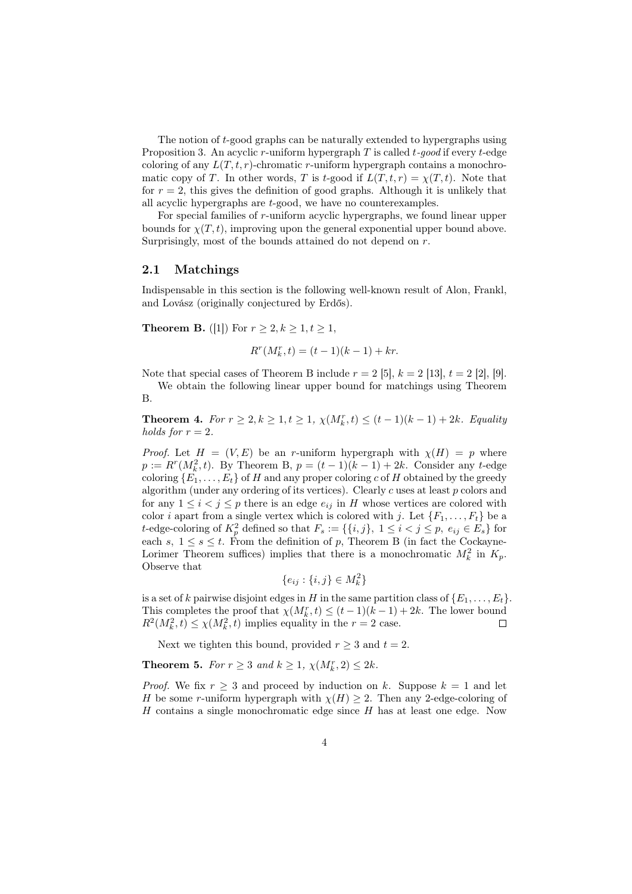The notion of *t*-good graphs can be naturally extended to hypergraphs using Proposition 3. An acyclic *r*-uniform hypergraph *T* is called *t-good* if every *t*-edge coloring of any  $L(T, t, r)$ -chromatic *r*-uniform hypergraph contains a monochromatic copy of *T*. In other words, *T* is *t*-good if  $L(T, t, r) = \chi(T, t)$ . Note that for  $r = 2$ , this gives the definition of good graphs. Although it is unlikely that all acyclic hypergraphs are *t*-good, we have no counterexamples.

For special families of *r*-uniform acyclic hypergraphs, we found linear upper bounds for  $\chi(T, t)$ , improving upon the general exponential upper bound above. Surprisingly, most of the bounds attained do not depend on *r*.

#### 2.1 Matchings

Indispensable in this section is the following well-known result of Alon, Frankl, and Lovász (originally conjectured by Erdős).

**Theorem B.** ([1]) For *r* ≥ 2*, k* ≥ 1*, t* ≥ 1*,* 

$$
R^r(M_k^r, t) = (t - 1)(k - 1) + kr.
$$

Note that special cases of Theorem B include  $r = 2$  [5],  $k = 2$  [13],  $t = 2$  [2], [9].

We obtain the following linear upper bound for matchings using Theorem B.

**Theorem 4.** *For*  $r \geq 2, k \geq 1, t \geq 1, \chi(M_k^r, t) \leq (t-1)(k-1) + 2k$ *. Equality holds for*  $r = 2$ *.* 

*Proof.* Let  $H = (V, E)$  be an *r*-uniform hypergraph with  $\chi(H) = p$  where  $p := R^r(M_k^2, t)$ . By Theorem B,  $p = (t - 1)(k - 1) + 2k$ . Consider any *t*-edge coloring  ${E_1, \ldots, E_t}$  of *H* and any proper coloring *c* of *H* obtained by the greedy algorithm (under any ordering of its vertices). Clearly *c* uses at least *p* colors and for any  $1 \leq i < j \leq p$  there is an edge  $e_{ij}$  in *H* whose vertices are colored with color *i* apart from a single vertex which is colored with *j*. Let  $\{F_1, \ldots, F_t\}$  be a *t*-edge-coloring of  $K_p^2$  defined so that  $F_s := \{\{i, j\}, 1 \le i < j \le p, e_{ij} \in E_s\}$  for each  $s, 1 \leq s \leq t$ . From the definition of  $p$ , Theorem B (in fact the Cockayne-Lorimer Theorem suffices) implies that there is a monochromatic  $M_k^2$  in  $K_p$ . Observe that

$$
\{e_{ij}:\{i,j\}\in M_k^2\}
$$

is a set of *k* pairwise disjoint edges in *H* in the same partition class of  $\{E_1, \ldots, E_t\}$ . This completes the proof that  $\chi(M_k^r, t) \leq (t-1)(k-1) + 2k$ . The lower bound  $R^2(M_k^2, t) \le \chi(M_k^2, t)$  implies equality in the  $r = 2$  case.  $\Box$ 

Next we tighten this bound, provided  $r \geq 3$  and  $t = 2$ .

**Theorem 5.** *For*  $r \geq 3$  *and*  $k \geq 1$ ,  $\chi(M_k^r, 2) \leq 2k$ *.* 

*Proof.* We fix  $r > 3$  and proceed by induction on k. Suppose  $k = 1$  and let *H* be some *r*-uniform hypergraph with  $\chi(H) \geq 2$ . Then any 2-edge-coloring of *H* contains a single monochromatic edge since *H* has at least one edge. Now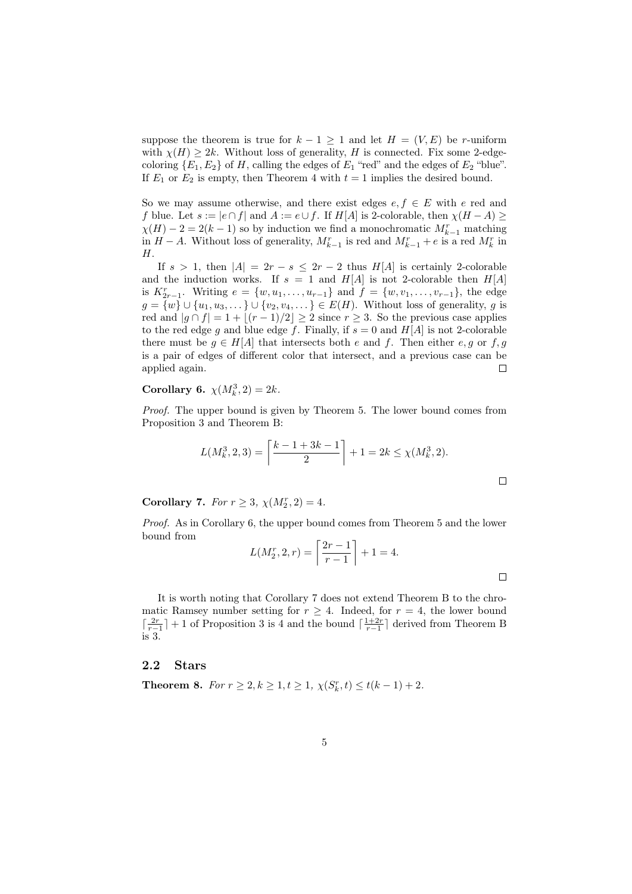suppose the theorem is true for  $k-1 \geq 1$  and let  $H = (V, E)$  be *r*-uniform with  $\chi(H) \geq 2k$ . Without loss of generality, *H* is connected. Fix some 2-edgecoloring  ${E_1, E_2}$  of *H*, calling the edges of  $E_1$  "red" and the edges of  $E_2$  "blue". If  $E_1$  or  $E_2$  is empty, then Theorem 4 with  $t = 1$  implies the desired bound.

So we may assume otherwise, and there exist edges  $e, f \in E$  with  $e$  red and *f* blue. Let  $s := |e \cap f|$  and  $A := e \cup f$ . If  $H[A]$  is 2-colorable, then  $\chi(H - A)$  >  $\chi(H) - 2 = 2(k - 1)$  so by induction we find a monochromatic  $M_{k-1}^r$  matching in *H* − *A*. Without loss of generality,  $M_{k-1}^r$  is red and  $M_{k-1}^r + e$  is a red  $M_k^r$  in *H*.

If  $s > 1$ , then  $|A| = 2r - s \leq 2r - 2$  thus  $H[A]$  is certainly 2-colorable and the induction works. If  $s = 1$  and  $H[A]$  is not 2-colorable then  $H[A]$ is  $K_{2r-1}^r$ . Writing  $e = \{w, u_1, \ldots, u_{r-1}\}$  and  $f = \{w, v_1, \ldots, v_{r-1}\}$ , the edge *g* = {*w*} ∪ {*u*<sub>1</sub>*, u*<sub>3</sub>*,...*} ∪ {*v*<sub>2</sub>*, v*<sub>4</sub>*,...*} ∈ *E*(*H*). Without loss of generality, *g* is red and  $|g \cap f| = 1 + |(r-1)/2| \ge 2$  since  $r \ge 3$ . So the previous case applies to the red edge *g* and blue edge *f*. Finally, if  $s = 0$  and  $H[A]$  is not 2-colorable there must be  $g \in H[A]$  that intersects both *e* and *f*. Then either *e, g* or *f, g* is a pair of edges of different color that intersect, and a previous case can be applied again.  $\Box$ 

## **Corollary 6.**  $\chi(M_k^3, 2) = 2k$ *.*

*Proof.* The upper bound is given by Theorem 5. The lower bound comes from Proposition 3 and Theorem B:

$$
L(M_k^3, 2, 3) = \left\lceil \frac{k - 1 + 3k - 1}{2} \right\rceil + 1 = 2k \le \chi(M_k^3, 2).
$$

**Corollary 7.** *For*  $r \geq 3$ ,  $\chi(M_2^r, 2) = 4$ *.* 

*Proof.* As in Corollary 6, the upper bound comes from Theorem 5 and the lower bound from

$$
L(M_2^r, 2, r) = \left\lceil \frac{2r - 1}{r - 1} \right\rceil + 1 = 4.
$$

It is worth noting that Corollary 7 does not extend Theorem B to the chromatic Ramsey number setting for  $r \geq 4$ . Indeed, for  $r = 4$ , the lower bound  $\lceil \frac{2r}{r-1} \rceil + 1$  of Proposition 3 is 4 and the bound  $\lceil \frac{1+2r}{r-1} \rceil$  derived from Theorem B is 3.

### 2.2 Stars

**Theorem 8.** *For*  $r \geq 2, k \geq 1, t \geq 1, \chi(S_k^r, t) \leq t(k-1) + 2.$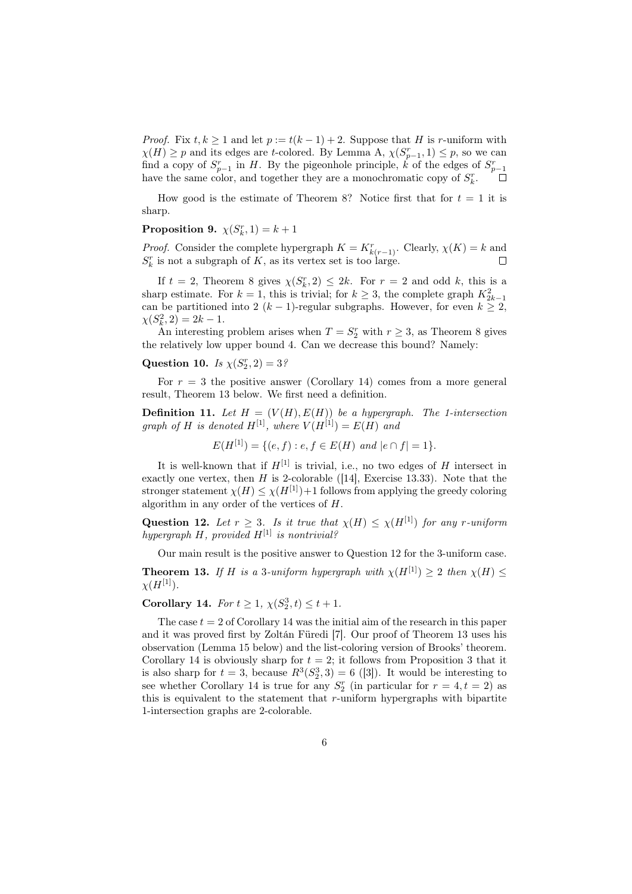*Proof.* Fix  $t, k \geq 1$  and let  $p := t(k-1) + 2$ . Suppose that *H* is *r*-uniform with  $\chi(H) \geq p$  and its edges are *t*-colored. By Lemma A,  $\chi(S_{p-1}^r, 1) \leq p$ , so we can find a copy of  $S_{p-1}^r$  in *H*. By the pigeonhole principle, *k* of the edges of  $S_{p-1}^r$ have the same color, and together they are a monochromatic copy of  $S_k^r$ .

How good is the estimate of Theorem 8? Notice first that for  $t = 1$  it is sharp.

## **Proposition 9.**  $\chi(S_k^r, 1) = k + 1$

*Proof.* Consider the complete hypergraph  $K = K_{k(r-1)}^r$ . Clearly,  $\chi(K) = k$  and  $S_k^r$  is not a subgraph of K, as its vertex set is too large.

If  $t = 2$ , Theorem 8 gives  $\chi(S_k^r, 2) \leq 2k$ . For  $r = 2$  and odd *k*, this is a sharp estimate. For  $k = 1$ , this is trivial; for  $k \geq 3$ , the complete graph  $K_{2k-1}^2$ can be partitioned into 2 ( $k - 1$ )-regular subgraphs. However, for even  $k \geq 2$ ,  $\chi(S_k^2, 2) = 2k - 1.$ 

An interesting problem arises when  $T = S_2^r$  with  $r \geq 3$ , as Theorem 8 gives the relatively low upper bound 4. Can we decrease this bound? Namely:

## Question 10. *Is*  $\chi(S_2^r, 2) = 3$ ?

For  $r = 3$  the positive answer (Corollary 14) comes from a more general result, Theorem 13 below. We first need a definition.

**Definition 11.** Let  $H = (V(H), E(H))$  be a hypergraph. The 1-intersection *graph of H is denoted*  $H^{[1]}$ *, where*  $V(H^{[1]}) = E(H)$  *and* 

 $E(H^{[1]}) = \{(e, f) : e, f \in E(H) \text{ and } |e \cap f| = 1\}.$ 

It is well-known that if  $H^{[1]}$  is trivial, i.e., no two edges of *H* intersect in exactly one vertex, then  $H$  is 2-colorable ([14], Exercise 13.33). Note that the stronger statement  $\chi(H) \leq \chi(H^{[1]})+1$  follows from applying the greedy coloring algorithm in any order of the vertices of *H*.

Question 12. Let  $r \geq 3$ . Is it true that  $\chi(H) \leq \chi(H^{[1]})$  for any *r*-uniform *hypergraph H, provided H*[1] *is nontrivial?*

Our main result is the positive answer to Question 12 for the 3-uniform case.

**Theorem 13.** *If H is a* 3*-uniform hypergraph with*  $\chi(H^{[1]}) \geq 2$  *then*  $\chi(H) \leq$  $\chi(H^{[1]})$ .

**Corollary 14.** *For*  $t \geq 1$ ,  $\chi(S_2^3, t) \leq t + 1$ *.* 

The case  $t = 2$  of Corollary 14 was the initial aim of the research in this paper and it was proved first by Zoltán Füredi [7]. Our proof of Theorem 13 uses his observation (Lemma 15 below) and the list-coloring version of Brooks' theorem. Corollary 14 is obviously sharp for  $t = 2$ ; it follows from Proposition 3 that it is also sharp for  $t = 3$ , because  $R^3(S_2^3, 3) = 6$  ([3]). It would be interesting to see whether Corollary 14 is true for any  $S_2^r$  (in particular for  $r = 4, t = 2$ ) as this is equivalent to the statement that *r*-uniform hypergraphs with bipartite 1-intersection graphs are 2-colorable.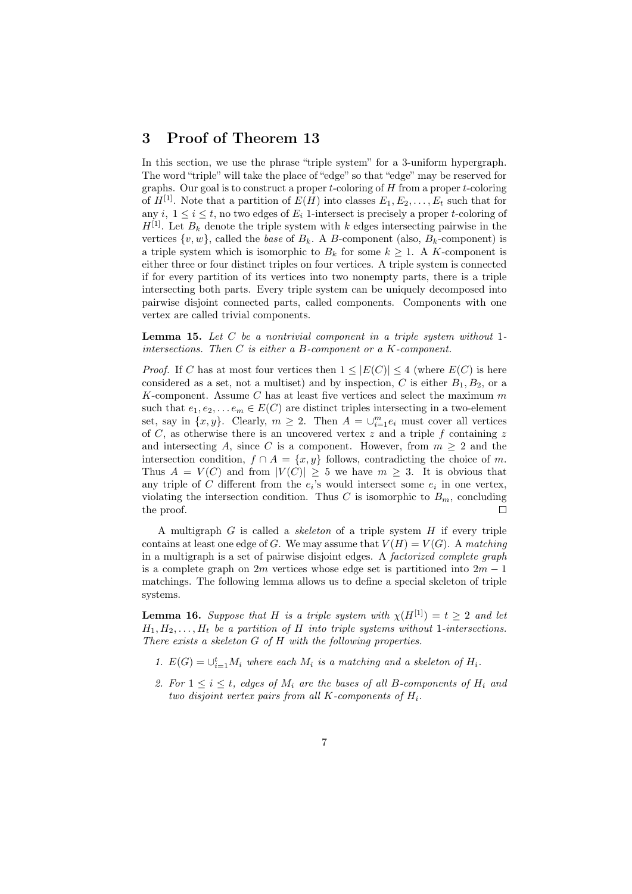## 3 Proof of Theorem 13

In this section, we use the phrase "triple system" for a 3-uniform hypergraph. The word "triple" will take the place of "edge" so that "edge" may be reserved for graphs. Our goal is to construct a proper *t*-coloring of *H* from a proper *t*-coloring of  $H^{[1]}$ . Note that a partition of  $E(H)$  into classes  $E_1, E_2, \ldots, E_t$  such that for any  $i, 1 \leq i \leq t$ , no two edges of  $E_i$  1-intersect is precisely a proper *t*-coloring of  $H^{[1]}$ . Let  $B_k$  denote the triple system with *k* edges intersecting pairwise in the vertices  $\{v, w\}$ , called the *base* of  $B_k$ . A *B*-component (also,  $B_k$ -component) is a triple system which is isomorphic to  $B_k$  for some  $k \geq 1$ . A *K*-component is either three or four distinct triples on four vertices. A triple system is connected if for every partition of its vertices into two nonempty parts, there is a triple intersecting both parts. Every triple system can be uniquely decomposed into pairwise disjoint connected parts, called components. Components with one vertex are called trivial components.

Lemma 15. *Let C be a nontrivial component in a triple system without* 1 *intersections. Then C is either a B-component or a K-component.*

*Proof.* If *C* has at most four vertices then  $1 \leq |E(C)| \leq 4$  (where  $E(C)$  is here considered as a set, not a multiset) and by inspection,  $C$  is either  $B_1, B_2$ , or a *K*-component. Assume *C* has at least five vertices and select the maximum *m* such that  $e_1, e_2, \ldots e_m \in E(C)$  are distinct triples intersecting in a two-element set, say in  $\{x, y\}$ . Clearly,  $m \geq 2$ . Then  $A = \bigcup_{i=1}^{m} e_i$  must cover all vertices of *C*, as otherwise there is an uncovered vertex *z* and a triple *f* containing *z* and intersecting A, since C is a component. However, from  $m \geq 2$  and the intersection condition,  $f \cap A = \{x, y\}$  follows, contradicting the choice of *m*. Thus  $A = V(C)$  and from  $|V(C)| \geq 5$  we have  $m \geq 3$ . It is obvious that any triple of *C* different from the  $e_i$ 's would intersect some  $e_i$  in one vertex, violating the intersection condition. Thus *C* is isomorphic to  $B<sub>m</sub>$ , concluding the proof.  $\Box$ 

A multigraph *G* is called a *skeleton* of a triple system *H* if every triple contains at least one edge of *G*. We may assume that  $V(H) = V(G)$ . A matching in a multigraph is a set of pairwise disjoint edges. A *factorized complete graph* is a complete graph on 2*m* vertices whose edge set is partitioned into 2*m −* 1 matchings. The following lemma allows us to define a special skeleton of triple systems.

**Lemma 16.** *Suppose that H is a triple system with*  $\chi(H^{[1]}) = t \geq 2$  *and let*  $H_1, H_2, \ldots, H_t$  *be a partition of H into triple systems without* 1*-intersections. There exists a skeleton G of H with the following properties.*

- *1.*  $E(G) = \bigcup_{i=1}^{t} M_i$  where each  $M_i$  is a matching and a skeleton of  $H_i$ .
- 2. For  $1 \leq i \leq t$ , edges of  $M_i$  are the bases of all B-components of  $H_i$  and *two disjoint vertex pairs from all K-components of Hi.*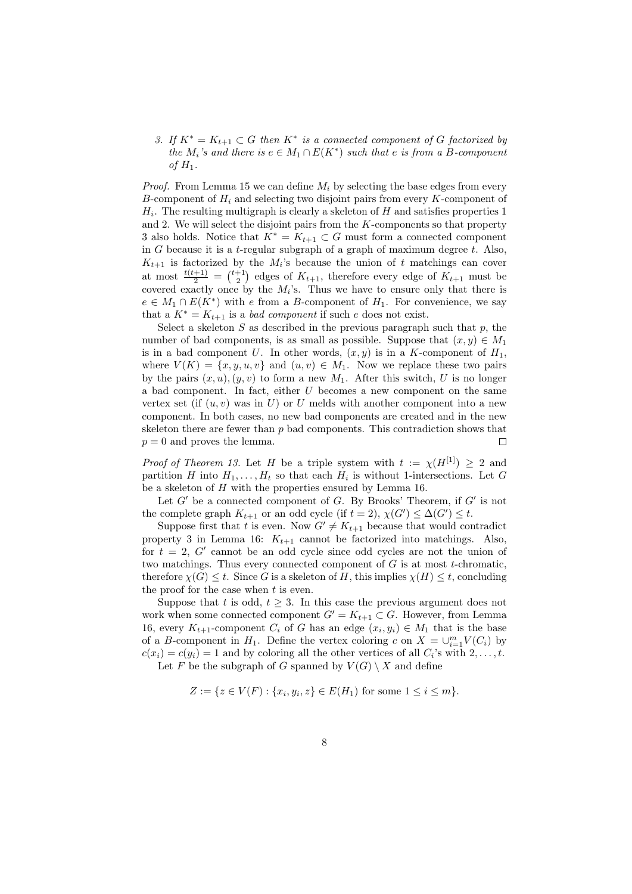*3. If*  $K^* = K_{t+1} ⊂ G$  *then*  $K^*$  *is a connected component of G factorized by the*  $M_i$ 's and there is  $e \in M_1 \cap E(K^*)$  such that  $e$  is from a *B-component*  $of$   $H_1$ .

*Proof.* From Lemma 15 we can define *M<sup>i</sup>* by selecting the base edges from every *B*-component of *H<sup>i</sup>* and selecting two disjoint pairs from every *K*-component of *H<sup>i</sup>* . The resulting multigraph is clearly a skeleton of *H* and satisfies properties 1 and 2. We will select the disjoint pairs from the *K*-components so that property 3 also holds. Notice that  $K^* = K_{t+1} \subset G$  must form a connected component in *G* because it is a *t*-regular subgraph of a graph of maximum degree *t*. Also,  $K_{t+1}$  is factorized by the  $M_i$ 's because the union of *t* matchings can cover at most  $\frac{t(t+1)}{2} = \binom{t+1}{2}$  edges of  $K_{t+1}$ , therefore every edge of  $K_{t+1}$  must be covered exactly once by the  $M_i$ 's. Thus we have to ensure only that there is  $e \in M_1 \cap E(K^*)$  with *e* from a *B*-component of  $H_1$ . For convenience, we say that a  $K^* = K_{t+1}$  is a *bad component* if such *e* does not exist.

Select a skeleton  $S$  as described in the previous paragraph such that  $p$ , the number of bad components, is as small as possible. Suppose that  $(x, y) \in M_1$ is in a bad component *U*. In other words,  $(x, y)$  is in a *K*-component of  $H_1$ , where  $V(K) = \{x, y, u, v\}$  and  $(u, v) \in M_1$ . Now we replace these two pairs by the pairs  $(x, u)$ ,  $(y, v)$  to form a new  $M_1$ . After this switch, *U* is no longer a bad component. In fact, either *U* becomes a new component on the same vertex set (if  $(u, v)$  was in  $U$ ) or  $U$  melds with another component into a new component. In both cases, no new bad components are created and in the new skeleton there are fewer than *p* bad components. This contradiction shows that  $p = 0$  and proves the lemma. П

*Proof of Theorem 13.* Let *H* be a triple system with  $t := \chi(H^{[1]}) \geq 2$  and partition *H* into  $H_1, \ldots, H_t$  so that each  $H_i$  is without 1-intersections. Let *G* be a skeleton of *H* with the properties ensured by Lemma 16.

Let *G′* be a connected component of *G*. By Brooks' Theorem, if *G′* is not the complete graph  $K_{t+1}$  or an odd cycle (if  $t = 2$ ),  $\chi(G') \leq \Delta(G') \leq t$ .

Suppose first that *t* is even. Now  $G' \neq K_{t+1}$  because that would contradict property 3 in Lemma 16:  $K_{t+1}$  cannot be factorized into matchings. Also, for  $t = 2$ ,  $G'$  cannot be an odd cycle since odd cycles are not the union of two matchings. Thus every connected component of *G* is at most *t*-chromatic, therefore  $\chi(G) \leq t$ . Since *G* is a skeleton of *H*, this implies  $\chi(H) \leq t$ , concluding the proof for the case when *t* is even.

Suppose that *t* is odd,  $t \geq 3$ . In this case the previous argument does not work when some connected component  $G' = K_{t+1} \subset G$ . However, from Lemma 16, every  $K_{t+1}$ -component  $C_i$  of  $G$  has an edge  $(x_i, y_i) \in M_1$  that is the base of a *B*-component in *H*<sub>1</sub>. Define the vertex coloring *c* on  $X = \bigcup_{i=1}^{m} V(C_i)$  by  $c(x_i) = c(y_i) = 1$  and by coloring all the other vertices of all  $C_i$ 's with  $2, \ldots, t$ . Let *F* be the subgraph of *G* spanned by  $V(G) \setminus X$  and define

$$
Z := \{ z \in V(F) : \{x_i, y_i, z\} \in E(H_1) \text{ for some } 1 \le i \le m \}.
$$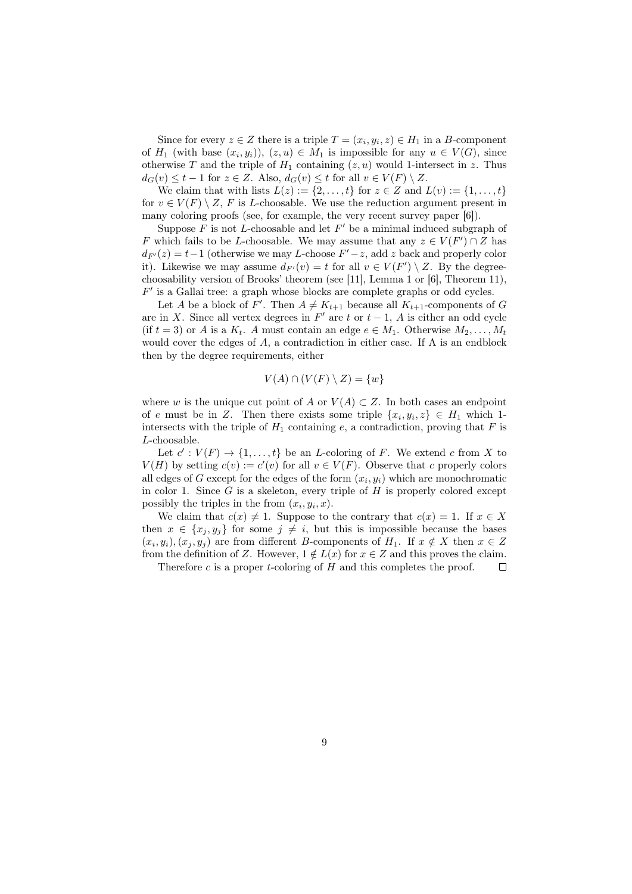Since for every  $z \in Z$  there is a triple  $T = (x_i, y_i, z) \in H_1$  in a *B*-component of  $H_1$  (with base  $(x_i, y_i)$ ),  $(z, u) \in M_1$  is impossible for any  $u \in V(G)$ , since otherwise *T* and the triple of  $H_1$  containing  $(z, u)$  would 1-intersect in *z*. Thus  $d_G(v) \le t - 1$  for  $z \in Z$ . Also,  $d_G(v) \le t$  for all  $v \in V(F) \setminus Z$ .

We claim that with lists  $L(z) := \{2, ..., t\}$  for  $z \in Z$  and  $L(v) := \{1, ..., t\}$ for  $v \in V(F) \setminus Z$ , *F* is *L*-choosable. We use the reduction argument present in many coloring proofs (see, for example, the very recent survey paper [6]).

Suppose *F* is not *L*-choosable and let *F ′* be a minimal induced subgraph of *F* which fails to be *L*-choosable. We may assume that any  $z \in V(F') \cap Z$  has  $d_{F'}(z) = t - 1$  (otherwise we may *L*-choose  $F' - z$ , add *z* back and properly color it). Likewise we may assume  $d_{F'}(v) = t$  for all  $v \in V(F') \setminus Z$ . By the degreechoosability version of Brooks' theorem (see [11], Lemma 1 or [6], Theorem 11), *F ′* is a Gallai tree: a graph whose blocks are complete graphs or odd cycles.

Let *A* be a block of *F'*. Then  $A \neq K_{t+1}$  because all  $K_{t+1}$ -components of *G* are in *X*. Since all vertex degrees in  $F'$  are  $t$  or  $t-1$ ,  $A$  is either an odd cycle (if  $t = 3$ ) or *A* is a  $K_t$ . *A* must contain an edge  $e \in M_1$ . Otherwise  $M_2, \ldots, M_t$ would cover the edges of A, a contradiction in either case. If A is an endblock then by the degree requirements, either

$$
V(A) \cap (V(F) \setminus Z) = \{w\}
$$

where *w* is the unique cut point of *A* or  $V(A) \subset Z$ . In both cases an endpoint of *e* must be in *Z*. Then there exists some triple  $\{x_i, y_i, z\} \in H_1$  which 1intersects with the triple of  $H_1$  containing  $e$ , a contradiction, proving that  $F$  is *L*-choosable.

Let  $c': V(F) \to \{1, \ldots, t\}$  be an *L*-coloring of *F*. We extend *c* from *X* to *V*(*H*) by setting  $c(v) := c'(v)$  for all  $v \in V(F)$ . Observe that *c* properly colors all edges of *G* except for the edges of the form  $(x_i, y_i)$  which are monochromatic in color 1. Since *G* is a skeleton, every triple of *H* is properly colored except possibly the triples in the from  $(x_i, y_i, x)$ .

We claim that  $c(x) \neq 1$ . Suppose to the contrary that  $c(x) = 1$ . If  $x \in X$ then  $x \in \{x_i, y_i\}$  for some  $j \neq i$ , but this is impossible because the bases  $(x_i, y_i), (x_j, y_j)$  are from different *B*-components of  $H_1$ . If  $x \notin X$  then  $x \in Z$ from the definition of *Z*. However,  $1 \notin L(x)$  for  $x \in Z$  and this proves the claim.

Therefore *c* is a proper *t*-coloring of *H* and this completes the proof.  $\Box$